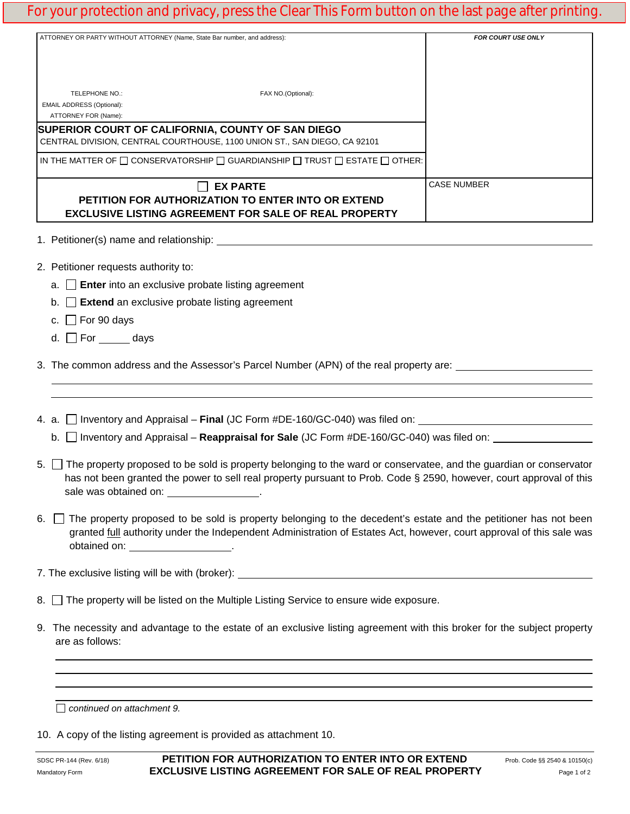## For your protection and privacy, press the Clear This Form button on the last page after printing.

| ATTORNEY OR PARTY WITHOUT ATTORNEY (Name, State Bar number, and address): |                                                                                                                                       | FOR COURT USE ONLY                                                                                                                                                                                                                                |
|---------------------------------------------------------------------------|---------------------------------------------------------------------------------------------------------------------------------------|---------------------------------------------------------------------------------------------------------------------------------------------------------------------------------------------------------------------------------------------------|
| TELEPHONE NO.:<br>EMAIL ADDRESS (Optional):<br>ATTORNEY FOR (Name):       | FAX NO.(Optional):                                                                                                                    |                                                                                                                                                                                                                                                   |
|                                                                           | SUPERIOR COURT OF CALIFORNIA, COUNTY OF SAN DIEGO<br>CENTRAL DIVISION, CENTRAL COURTHOUSE, 1100 UNION ST., SAN DIEGO, CA 92101        |                                                                                                                                                                                                                                                   |
|                                                                           | IN THE MATTER OF $\square$ CONSERVATORSHIP $\square$ GUARDIANSHIP $\square$ TRUST $\square$ ESTATE $\square$ OTHER:                   |                                                                                                                                                                                                                                                   |
|                                                                           | <b>EX PARTE</b><br>PETITION FOR AUTHORIZATION TO ENTER INTO OR EXTEND<br><b>EXCLUSIVE LISTING AGREEMENT FOR SALE OF REAL PROPERTY</b> | <b>CASE NUMBER</b>                                                                                                                                                                                                                                |
|                                                                           |                                                                                                                                       |                                                                                                                                                                                                                                                   |
| 2. Petitioner requests authority to:                                      |                                                                                                                                       |                                                                                                                                                                                                                                                   |
| $a.$ Enter into an exclusive probate listing agreement                    |                                                                                                                                       |                                                                                                                                                                                                                                                   |
| $\Box$ Extend an exclusive probate listing agreement<br>b.                |                                                                                                                                       |                                                                                                                                                                                                                                                   |
| c. $\Box$ For 90 days                                                     |                                                                                                                                       |                                                                                                                                                                                                                                                   |
| d. $\Box$ For _______ days                                                |                                                                                                                                       |                                                                                                                                                                                                                                                   |
|                                                                           |                                                                                                                                       | 3. The common address and the Assessor's Parcel Number (APN) of the real property are:                                                                                                                                                            |
|                                                                           |                                                                                                                                       |                                                                                                                                                                                                                                                   |
|                                                                           |                                                                                                                                       | b. $\Box$ Inventory and Appraisal – <b>Reappraisal for Sale</b> (JC Form #DE-160/GC-040) was filed on:                                                                                                                                            |
| sale was obtained on: _________________.                                  |                                                                                                                                       | 5. The property proposed to be sold is property belonging to the ward or conservatee, and the guardian or conservator<br>has not been granted the power to sell real property pursuant to Prob. Code § 2590, however, court approval of this      |
| obtained on: _____________________.                                       |                                                                                                                                       | 6. The property proposed to be sold is property belonging to the decedent's estate and the petitioner has not been<br>granted <i>full</i> authority under the Independent Administration of Estates Act, however, court approval of this sale was |
|                                                                           |                                                                                                                                       | 7. The exclusive listing will be with (broker): _________________________________                                                                                                                                                                 |
|                                                                           | 8. The property will be listed on the Multiple Listing Service to ensure wide exposure.                                               |                                                                                                                                                                                                                                                   |
| are as follows:                                                           |                                                                                                                                       | 9. The necessity and advantage to the estate of an exclusive listing agreement with this broker for the subject property                                                                                                                          |
|                                                                           |                                                                                                                                       |                                                                                                                                                                                                                                                   |
|                                                                           |                                                                                                                                       | <u> 1989 - Andrea Santana, amerikana amerikana amerikana amerikana amerikana amerikana amerikana amerikana amerika</u>                                                                                                                            |

10. A copy of the listing agreement is provided as attachment 10.